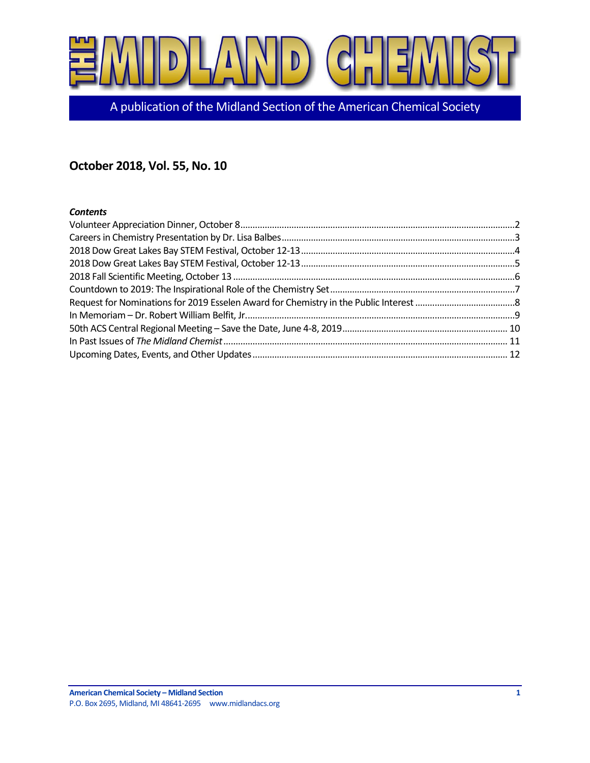

A publication of the Midland Section of the American Chemical Society

## **October 2018, Vol. 55, No. 10**

#### *Contents*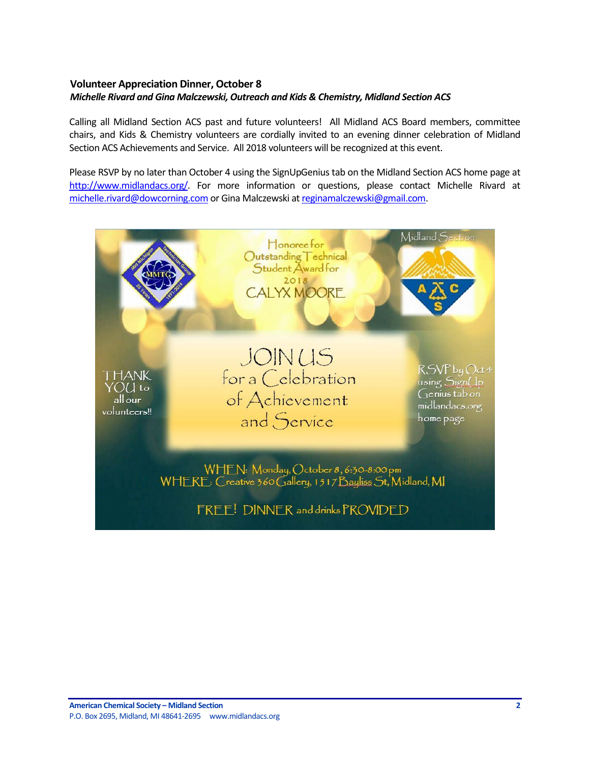## <span id="page-1-0"></span>**Volunteer Appreciation Dinner, October 8** *Michelle Rivard and Gina Malczewski, Outreach and Kids & Chemistry, Midland Section ACS*

Calling all Midland Section ACS past and future volunteers! All Midland ACS Board members, committee chairs, and Kids & Chemistry volunteers are cordially invited to an evening dinner celebration of Midland Section ACS Achievements and Service. All 2018 volunteers will be recognized at this event.

Please RSVP by no later than October 4 using the SignUpGenius tab on the Midland Section ACS home page at [http://www.midlandacs.org/.](http://www.midlandacs.org/) For more information or questions, please contact Michelle Rivard at [michelle.rivard@dowcorning.com](mailto:michelle.rivard@dowcorning.com) or Gina Malczewski a[t reginamalczewski@gmail.com.](mailto:reginamalczewski@gmail.com)

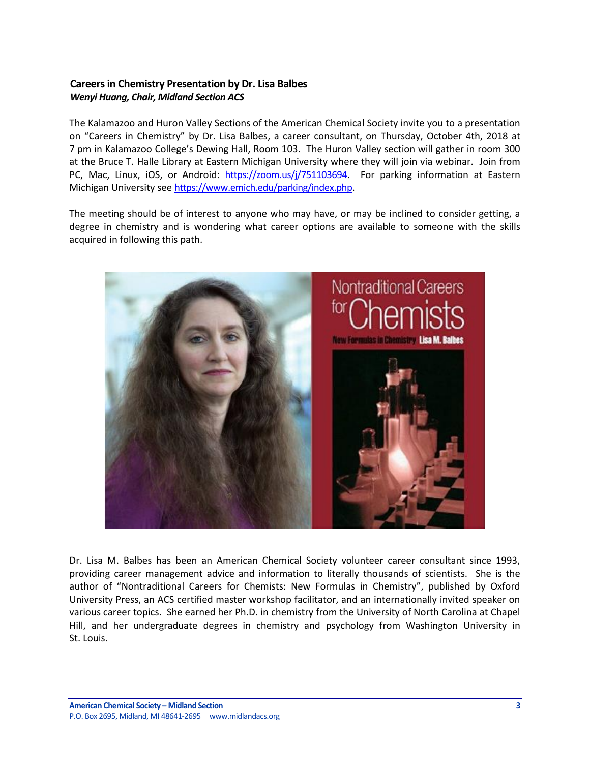## <span id="page-2-0"></span>**Careers in Chemistry Presentation by Dr. Lisa Balbes** *Wenyi Huang, Chair, Midland Section ACS*

The Kalamazoo and Huron Valley Sections of the American Chemical Society invite you to a presentation on "Careers in Chemistry" by Dr. Lisa Balbes, a career consultant, on Thursday, October 4th, 2018 at 7 pm in Kalamazoo College's Dewing Hall, Room 103. The Huron Valley section will gather in room 300 at the Bruce T. Halle Library at Eastern Michigan University where they will join via webinar. Join from PC, Mac, Linux, iOS, or Android: [https://zoom.us/j/751103694.](https://zoom.us/j/751103694) For parking information at Eastern Michigan University see https://www.emich.edu/parking/index.php.

The meeting should be of interest to anyone who may have, or may be inclined to consider getting, a degree in chemistry and is wondering what career options are available to someone with the skills acquired in following this path.



Dr. Lisa M. Balbes has been an American Chemical Society volunteer career consultant since 1993, providing career management advice and information to literally thousands of scientists. She is the author of "Nontraditional Careers for Chemists: New Formulas in Chemistry", published by Oxford University Press, an ACS certified master workshop facilitator, and an internationally invited speaker on various career topics. She earned her Ph.D. in chemistry from the University of North Carolina at Chapel Hill, and her undergraduate degrees in chemistry and psychology from Washington University in St. Louis.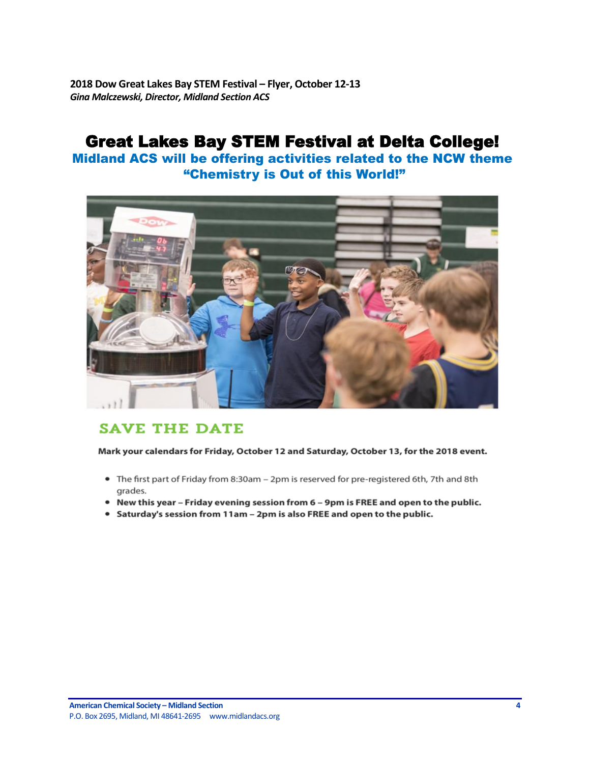<span id="page-3-0"></span>**2018 Dow Great Lakes Bay STEM Festival – Flyer, October 12-13** *Gina Malczewski, Director, Midland Section ACS*

# Great Lakes Bay STEM Festival at Delta College!

Midland ACS will be offering activities related to the NCW theme "Chemistry is Out of this World!"



## **SAVE THE DATE**

Mark your calendars for Friday, October 12 and Saturday, October 13, for the 2018 event.

- The first part of Friday from 8:30am 2pm is reserved for pre-registered 6th, 7th and 8th grades.
- . New this year Friday evening session from 6 9pm is FREE and open to the public.
- Saturday's session from 11am 2pm is also FREE and open to the public.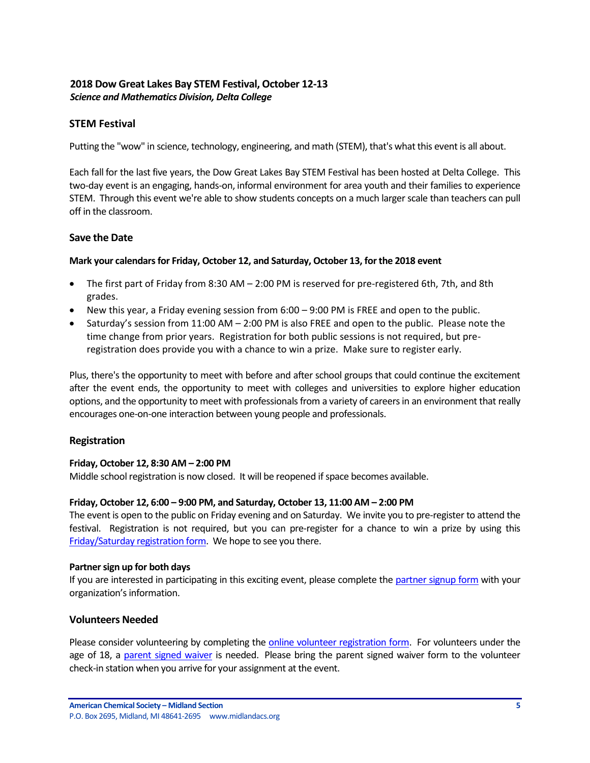## <span id="page-4-0"></span>**2018 Dow Great Lakes Bay STEM Festival, October 12-13** *Science and Mathematics Division, Delta College*

## **STEM Festival**

Putting the "wow" in science, technology, engineering, and math (STEM), that's what this event is all about.

Each fall for the last five years, the Dow Great Lakes Bay STEM Festival has been hosted at Delta College. This two-day event is an engaging, hands-on, informal environment for area youth and their families to experience STEM. Through this event we're able to show students concepts on a much larger scale than teachers can pull off in the classroom.

#### **Save the Date**

#### **Mark your calendars for Friday, October 12, and Saturday, October 13, for the 2018 event**

- The first part of Friday from 8:30 AM 2:00 PM is reserved for pre-registered 6th, 7th, and 8th grades.
- New this year, a Friday evening session from 6:00 9:00 PM is FREE and open to the public.
- Saturday's session from 11:00 AM 2:00 PM is also FREE and open to the public. Please note the time change from prior years. Registration for both public sessions is not required, but preregistration does provide you with a chance to win a prize. Make sure to register early.

Plus, there's the opportunity to meet with before and after school groups that could continue the excitement after the event ends, the opportunity to meet with colleges and universities to explore higher education options, and the opportunity to meet with professionals from a variety of careers in an environment that really encourages one-on-one interaction between young people and professionals.

#### **Registration**

#### **Friday, October 12, 8:30 AM – 2:00 PM**

Middle school registration is now closed. It will be reopened if space becomes available.

#### **Friday, October 12, 6:00 – 9:00 PM, and Saturday, October 13, 11:00 AM – 2:00 PM**

The event is open to the public on Friday evening and on Saturday. We invite you to pre-register to attend the festival. Registration is not required, but you can pre-register for a chance to win a prize by using this [Friday/Saturday registration form.](https://www.eventbrite.com/e/2018-dow-great-lakes-bay-stem-festival-delta-college-open-to-the-public-registration-44371721012) We hope to see you there.

#### **Partner sign up for both days**

If you are interested in participating in this exciting event, please complete th[e partner signup form](https://docs.google.com/forms/d/1mGBkYQs5k6NoqoRXYNeiQdBlPXRwCqlKh3ZjwPJgDtA/viewform?edit_requested=true#responses) with your organization's information.

#### **Volunteers Needed**

Please consider volunteering by completing th[e online volunteer registration form.](https://signup.com/client/invitation2/secure/2070076/false#/invitation) For volunteers under the age of 18, a [parent signed waiver](http://www.delta.edu/community/youth-programs/stem/_documents/delta-college-minor-release.pdf) is needed. Please bring the parent signed waiver form to the volunteer check-in station when you arrive for your assignment at the event.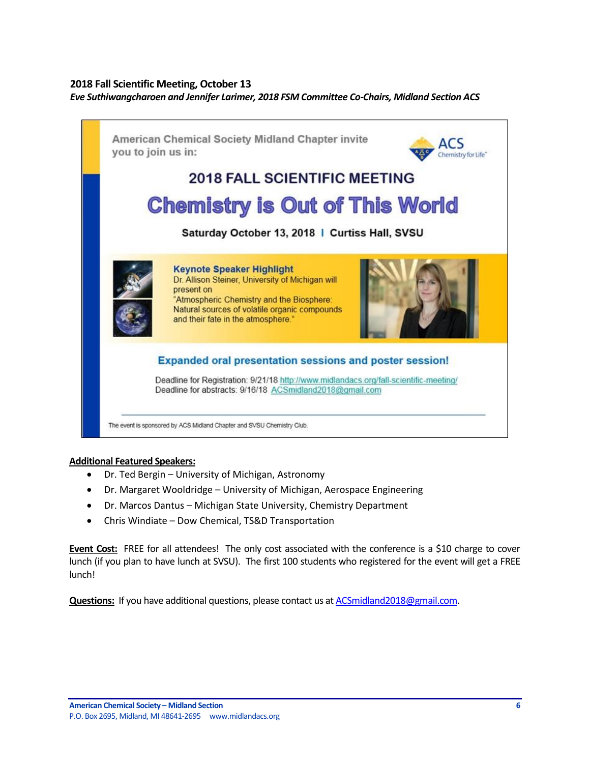## <span id="page-5-0"></span>**2018 Fall Scientific Meeting, October 13**

*Eve Suthiwangcharoen and Jennifer Larimer, 2018 FSM Committee Co-Chairs, Midland Section ACS*



#### **Additional Featured Speakers:**

- Dr. Ted Bergin University of Michigan, Astronomy
- Dr. Margaret Wooldridge University of Michigan, Aerospace Engineering
- Dr. Marcos Dantus Michigan State University, Chemistry Department
- Chris Windiate Dow Chemical, TS&D Transportation

**Event Cost:** FREE for all attendees! The only cost associated with the conference is a \$10 charge to cover lunch (if you plan to have lunch at SVSU). The first 100 students who registered for the event will get a FREE lunch!

**Questions:** If you have additional questions, please contact us a[t ACSmidland2018@gmail.com.](mailto:ACSmidland2018@gmail.com)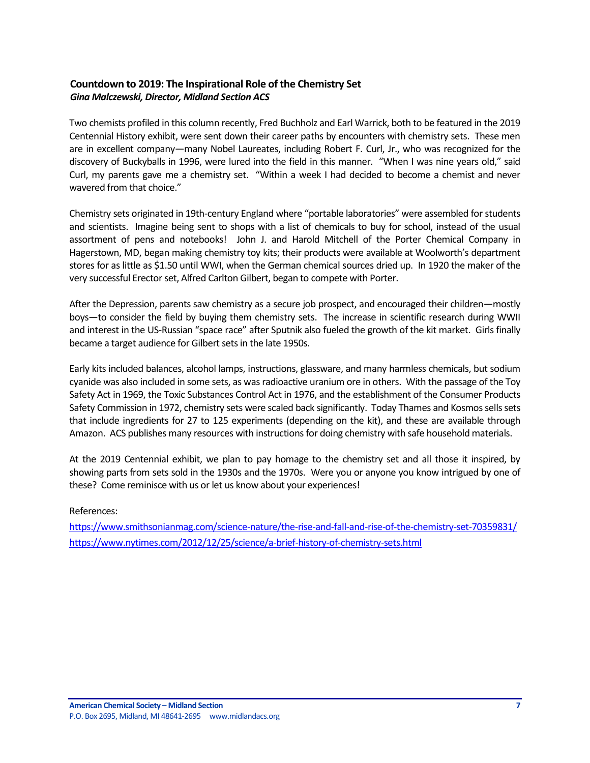## <span id="page-6-0"></span>**Countdown to 2019: The Inspirational Role of the Chemistry Set** *Gina Malczewski, Director, Midland Section ACS*

Two chemists profiled in this column recently, Fred Buchholz and Earl Warrick, both to be featured in the 2019 Centennial History exhibit, were sent down their career paths by encounters with chemistry sets. These men are in excellent company—many Nobel Laureates, including Robert F. Curl, Jr., who was recognized for the discovery of Buckyballs in 1996, were lured into the field in this manner. "When I was nine years old," said Curl, my parents gave me a chemistry set. "Within a week I had decided to become a chemist and never wavered from that choice."

Chemistry sets originated in 19th-century England where "portable laboratories" were assembled for students and scientists. Imagine being sent to shops with a list of chemicals to buy for school, instead of the usual assortment of pens and notebooks! John J. and Harold Mitchell of the Porter Chemical Company in Hagerstown, MD, began making chemistry toy kits; their products were available at Woolworth's department stores for as little as \$1.50 until WWI, when the German chemical sources dried up. In 1920 the maker of the very successful Erector set, Alfred Carlton Gilbert, began to compete with Porter.

After the Depression, parents saw chemistry as a secure job prospect, and encouraged their children—mostly boys—to consider the field by buying them chemistry sets. The increase in scientific research during WWII and interest in the US-Russian "space race" after Sputnik also fueled the growth of the kit market. Girls finally became a target audience for Gilbert sets in the late 1950s.

Early kits included balances, alcohol lamps, instructions, glassware, and many harmless chemicals, but sodium cyanide was also included in some sets, as was radioactive uranium ore in others. With the passage of the Toy Safety Act in 1969, the Toxic Substances Control Act in 1976, and the establishment of the Consumer Products Safety Commission in 1972, chemistry sets were scaled back significantly. Today Thames and Kosmos sells sets that include ingredients for 27 to 125 experiments (depending on the kit), and these are available through Amazon. ACS publishes many resources with instructions for doing chemistry with safe household materials.

At the 2019 Centennial exhibit, we plan to pay homage to the chemistry set and all those it inspired, by showing parts from sets sold in the 1930s and the 1970s. Were you or anyone you know intrigued by one of these? Come reminisce with us or let us know about your experiences!

#### References:

<https://www.smithsonianmag.com/science-nature/the-rise-and-fall-and-rise-of-the-chemistry-set-70359831/> <https://www.nytimes.com/2012/12/25/science/a-brief-history-of-chemistry-sets.html>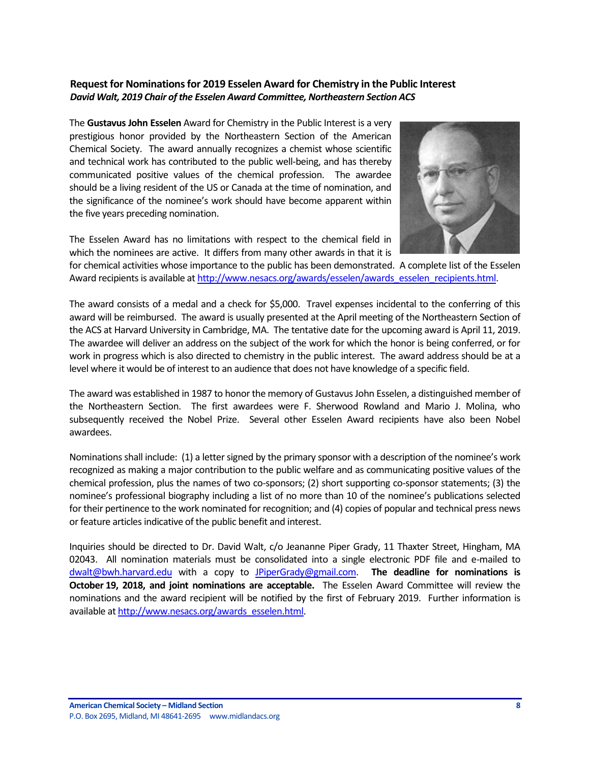## <span id="page-7-0"></span>**Request for Nominations for 2019 Esselen Award for Chemistry in the Public Interest** *David Walt, 2019 Chair of the Esselen Award Committee, Northeastern Section ACS*

The **Gustavus John Esselen** Award for Chemistry in the Public Interest is a very prestigious honor provided by the Northeastern Section of the American Chemical Society. The award annually recognizes a chemist whose scientific and technical work has contributed to the public well-being, and has thereby communicated positive values of the chemical profession. The awardee should be a living resident of the US or Canada at the time of nomination, and the significance of the nominee's work should have become apparent within the five years preceding nomination.

The Esselen Award has no limitations with respect to the chemical field in which the nominees are active. It differs from many other awards in that it is



for chemical activities whose importance to the public has been demonstrated. A complete list of the Esselen Award recipients is available a[t http://www.nesacs.org/awards/esselen/awards\\_esselen\\_recipients.html.](http://www.nesacs.org/awards/esselen/awards_esselen_recipients.html)

The award consists of a medal and a check for \$5,000. Travel expenses incidental to the conferring of this award will be reimbursed. The award is usually presented at the April meeting of the Northeastern Section of the ACS at Harvard University in Cambridge, MA. The tentative date for the upcoming award is April 11, 2019. The awardee will deliver an address on the subject of the work for which the honor is being conferred, or for work in progress which is also directed to chemistry in the public interest. The award address should be at a level where it would be of interest to an audience that does not have knowledge of a specific field.

The award was established in 1987 to honor the memory of Gustavus John Esselen, a distinguished member of the Northeastern Section. The first awardees were F. Sherwood Rowland and Mario J. Molina, who subsequently received the Nobel Prize. Several other Esselen Award recipients have also been Nobel awardees.

Nominations shall include: (1) a letter signed by the primary sponsor with a description of the nominee's work recognized as making a major contribution to the public welfare and as communicating positive values of the chemical profession, plus the names of two co-sponsors; (2) short supporting co-sponsor statements; (3) the nominee's professional biography including a list of no more than 10 of the nominee's publications selected for their pertinence to the work nominated for recognition; and (4) copies of popular and technical press news or feature articles indicative of the public benefit and interest.

Inquiries should be directed to Dr. David Walt, c/o Jeananne Piper Grady, 11 Thaxter Street, Hingham, MA 02043. All nomination materials must be consolidated into a single electronic PDF file and e-mailed to [dwalt@bwh.harvard.edu](mailto:dwalt@bwh.harvard.edu) with a copy to [JPiperGrady@gmail.com.](mailto:JPiperGrady@gmail.com) **The deadline for nominations is October 19, 2018, and joint nominations are acceptable.** The Esselen Award Committee will review the nominations and the award recipient will be notified by the first of February 2019. Further information is available a[t http://www.nesacs.org/awards\\_esselen.html.](http://www.nesacs.org/awards_esselen.html)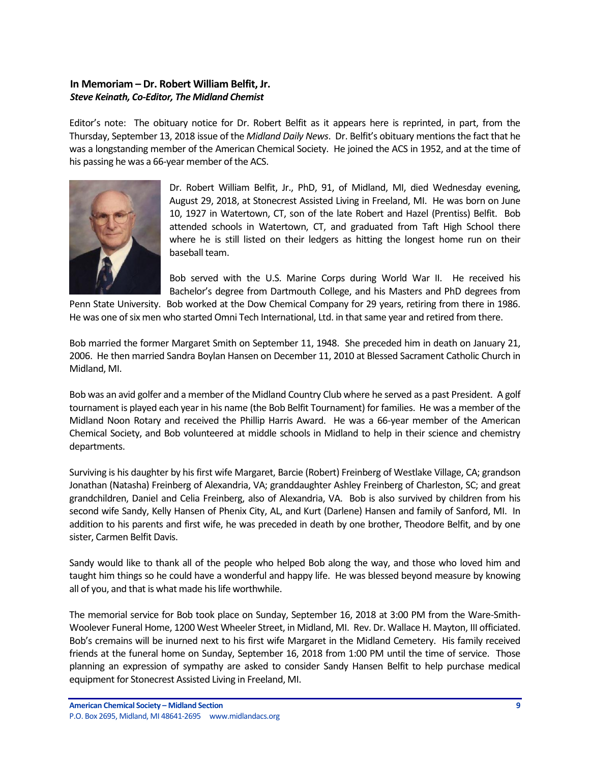## <span id="page-8-0"></span>**In Memoriam – Dr. Robert William Belfit, Jr.** *Steve Keinath, Co-Editor, The Midland Chemist*

Editor's note: The obituary notice for Dr. Robert Belfit as it appears here is reprinted, in part, from the Thursday, September 13, 2018 issue of the *Midland Daily News*. Dr. Belfit's obituary mentions the fact that he was a longstanding member of the American Chemical Society. He joined the ACS in 1952, and at the time of his passing he was a 66-year member of the ACS.



Dr. Robert William Belfit, Jr., PhD, 91, of Midland, MI, died Wednesday evening, August 29, 2018, at Stonecrest Assisted Living in Freeland, MI. He was born on June 10, 1927 in Watertown, CT, son of the late Robert and Hazel (Prentiss) Belfit. Bob attended schools in Watertown, CT, and graduated from Taft High School there where he is still listed on their ledgers as hitting the longest home run on their baseball team.

Bob served with the U.S. Marine Corps during World War II. He received his Bachelor's degree from Dartmouth College, and his Masters and PhD degrees from

Penn State University. Bob worked at the Dow Chemical Company for 29 years, retiring from there in 1986. He was one of six men who started Omni Tech International, Ltd. in that same year and retired from there.

Bob married the former Margaret Smith on September 11, 1948. She preceded him in death on January 21, 2006. He then married Sandra Boylan Hansen on December 11, 2010 at Blessed Sacrament Catholic Church in Midland, MI.

Bob was an avid golfer and a member of the Midland Country Club where he served as a past President. A golf tournament is played each year in his name (the Bob Belfit Tournament) for families. He was a member of the Midland Noon Rotary and received the Phillip Harris Award. He was a 66-year member of the American Chemical Society, and Bob volunteered at middle schools in Midland to help in their science and chemistry departments.

Surviving is his daughter by his first wife Margaret, Barcie (Robert) Freinberg of Westlake Village, CA; grandson Jonathan (Natasha) Freinberg of Alexandria, VA; granddaughter Ashley Freinberg of Charleston, SC; and great grandchildren, Daniel and Celia Freinberg, also of Alexandria, VA. Bob is also survived by children from his second wife Sandy, Kelly Hansen of Phenix City, AL, and Kurt (Darlene) Hansen and family of Sanford, MI. In addition to his parents and first wife, he was preceded in death by one brother, Theodore Belfit, and by one sister, Carmen Belfit Davis.

Sandy would like to thank all of the people who helped Bob along the way, and those who loved him and taught him things so he could have a wonderful and happy life. He was blessed beyond measure by knowing all of you, and that is what made his life worthwhile.

The memorial service for Bob took place on Sunday, September 16, 2018 at 3:00 PM from the Ware-Smith-Woolever Funeral Home, 1200 West Wheeler Street, in Midland, MI. Rev. Dr. Wallace H. Mayton, III officiated. Bob's cremains will be inurned next to his first wife Margaret in the Midland Cemetery. His family received friends at the funeral home on Sunday, September 16, 2018 from 1:00 PM until the time of service. Those planning an expression of sympathy are asked to consider Sandy Hansen Belfit to help purchase medical equipment for Stonecrest Assisted Living in Freeland, MI.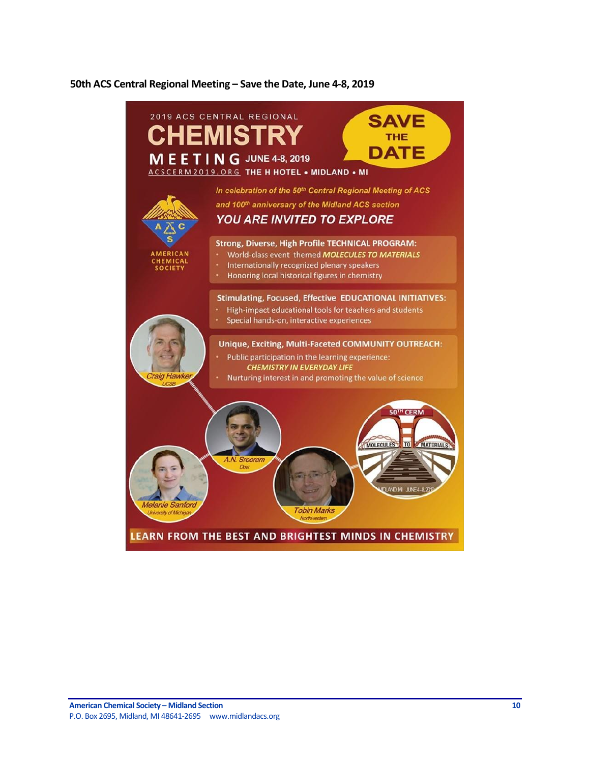#### <span id="page-9-0"></span>**50th ACS Central Regional Meeting – Save the Date, June 4-8, 2019**

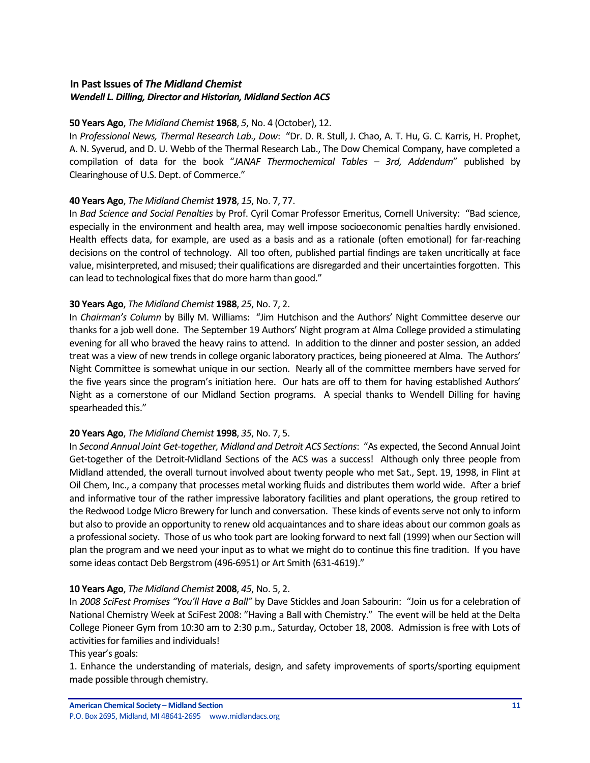## <span id="page-10-0"></span>**In Past Issues of** *The Midland Chemist Wendell L. Dilling, Director and Historian, Midland Section ACS*

## **50 Years Ago**, *The Midland Chemist* **1968**, *5*, No. 4 (October), 12.

In *Professional News, Thermal Research Lab., Dow*: "Dr. D. R. Stull, J. Chao, A. T. Hu, G. C. Karris, H. Prophet, A. N. Syverud, and D. U. Webb of the Thermal Research Lab., The Dow Chemical Company, have completed a compilation of data for the book "*JANAF Thermochemical Tables – 3rd, Addendum*" published by Clearinghouse of U.S. Dept. of Commerce."

## **40 Years Ago**, *The Midland Chemist* **1978**, *15*, No. 7, 77.

In *Bad Science and Social Penalties* by Prof. Cyril Comar Professor Emeritus, Cornell University: "Bad science, especially in the environment and health area, may well impose socioeconomic penalties hardly envisioned. Health effects data, for example, are used as a basis and as a rationale (often emotional) for far-reaching decisions on the control of technology. All too often, published partial findings are taken uncritically at face value, misinterpreted, and misused; their qualifications are disregarded and their uncertainties forgotten. This can lead to technological fixes that do more harm than good."

## **30 Years Ago**, *The Midland Chemist* **1988**, *25*, No. 7, 2.

In *Chairman's Column* by Billy M. Williams: "Jim Hutchison and the Authors' Night Committee deserve our thanks for a job well done. The September 19 Authors' Night program at Alma College provided a stimulating evening for all who braved the heavy rains to attend. In addition to the dinner and poster session, an added treat was a view of new trends in college organic laboratory practices, being pioneered at Alma. The Authors' Night Committee is somewhat unique in our section. Nearly all of the committee members have served for the five years since the program's initiation here. Our hats are off to them for having established Authors' Night as a cornerstone of our Midland Section programs. A special thanks to Wendell Dilling for having spearheaded this."

## **20 Years Ago**, *The Midland Chemist* **1998**, *35*, No. 7, 5.

In *Second Annual Joint Get-together, Midland and Detroit ACS Sections*: "As expected, the Second Annual Joint Get-together of the Detroit-Midland Sections of the ACS was a success! Although only three people from Midland attended, the overall turnout involved about twenty people who met Sat., Sept. 19, 1998, in Flint at Oil Chem, Inc., a company that processes metal working fluids and distributes them world wide. After a brief and informative tour of the rather impressive laboratory facilities and plant operations, the group retired to the Redwood Lodge Micro Brewery for lunch and conversation. These kinds of events serve not only to inform but also to provide an opportunity to renew old acquaintances and to share ideas about our common goals as a professional society. Those of us who took part are looking forward to next fall (1999) when our Section will plan the program and we need your input as to what we might do to continue this fine tradition. If you have some ideas contact Deb Bergstrom (496-6951) or Art Smith (631-4619)."

#### **10 Years Ago**, *The Midland Chemist* **2008**, *45*, No. 5, 2.

In *2008 SciFest Promises "You'll Have a Ball"* by Dave Stickles and Joan Sabourin: "Join us for a celebration of National Chemistry Week at SciFest 2008: "Having a Ball with Chemistry." The event will be held at the Delta College Pioneer Gym from 10:30 am to 2:30 p.m., Saturday, October 18, 2008. Admission is free with Lots of activities for families and individuals!

#### This year's goals:

1. Enhance the understanding of materials, design, and safety improvements of sports/sporting equipment made possible through chemistry.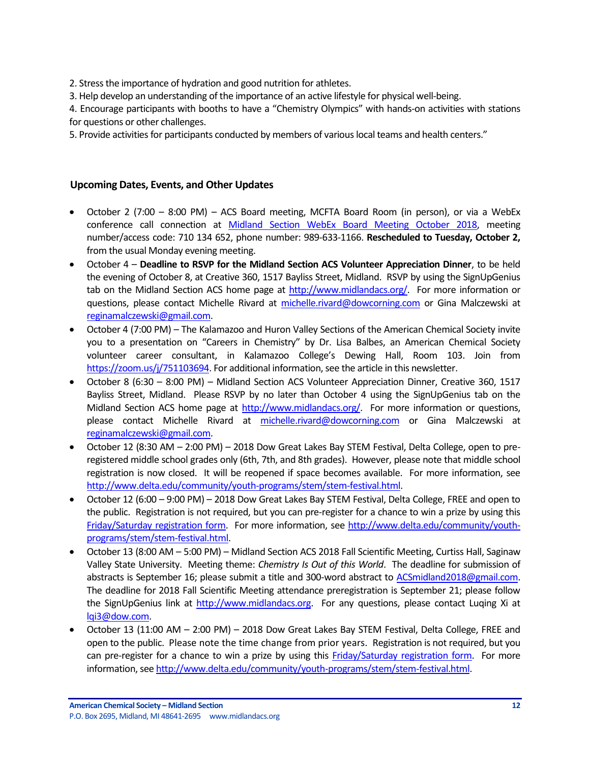2. Stress the importance of hydration and good nutrition for athletes.

3. Help develop an understanding of the importance of an active lifestyle for physical well-being.

4. Encourage participants with booths to have a "Chemistry Olympics" with hands-on activities with stations for questions or other challenges.

5. Provide activities for participants conducted by members of various local teams and health centers."

## <span id="page-11-0"></span>**Upcoming Dates, Events, and Other Updates**

- October 2 (7:00 8:00 PM) ACS Board meeting, MCFTA Board Room (in person), or via a WebEx conference call connection at [Midland Section WebEx Board Meeting October 2018,](https://dow.webex.com/mw3100/mywebex/default.do?service=1&main_url=%2Fmc3100%2Fe.do%3Fsiteurl%3Ddow%26AT%3DMI%26EventID%3D673694637%26MTID%3Dm5b73f739873ba5a1fec623d3d54f4f60%26Host%3DQUhTSwAAAATaoKe5Uas0kIGT4K88WrlMr2ycqKMCvyBDxqVuafUiZDnH33_2hkVMA1tq1aO94FxuVZ8BV8Op4YjTiN8E5c4g0%26FrameSet%3D2&siteurl=dow&nomenu=true) meeting number/access code: 710 134 652, phone number: 989-633-1166. **Rescheduled to Tuesday, October 2,** from the usual Monday evening meeting.
- October 4 **Deadline to RSVP for the Midland Section ACS Volunteer Appreciation Dinner**, to be held the evening of October 8, at Creative 360, 1517 Bayliss Street, Midland. RSVP by using the SignUpGenius tab on the Midland Section ACS home page at [http://www.midlandacs.org/.](http://www.midlandacs.org/) For more information or questions, please contact Michelle Rivard at [michelle.rivard@dowcorning.com](mailto:michelle.rivard@dowcorning.com) or Gina Malczewski at [reginamalczewski@gmail.com.](mailto:reginamalczewski@gmail.com)
- October 4 (7:00 PM) The Kalamazoo and Huron Valley Sections of the American Chemical Society invite you to a presentation on "Careers in Chemistry" by Dr. Lisa Balbes, an American Chemical Society volunteer career consultant, in Kalamazoo College's Dewing Hall, Room 103. Join from [https://zoom.us/j/751103694.](https://zoom.us/j/751103694) For additional information, see the article in this newsletter.
- October 8 (6:30 8:00 PM) Midland Section ACS Volunteer Appreciation Dinner, Creative 360, 1517 Bayliss Street, Midland. Please RSVP by no later than October 4 using the SignUpGenius tab on the Midland Section ACS home page at [http://www.midlandacs.org/.](http://www.midlandacs.org/) For more information or questions, please contact Michelle Rivard at [michelle.rivard@dowcorning.com](mailto:michelle.rivard@dowcorning.com) or Gina Malczewski at [reginamalczewski@gmail.com.](mailto:reginamalczewski@gmail.com)
- October 12 (8:30 AM 2:00 PM) 2018 Dow Great Lakes Bay STEM Festival, Delta College, open to preregistered middle school grades only (6th, 7th, and 8th grades). However, please note that middle school registration is now closed. It will be reopened if space becomes available. For more information, see [http://www.delta.edu/community/youth-programs/stem/stem-festival.html.](http://www.delta.edu/community/youth-programs/stem/stem-festival.html)
- October 12 (6:00 9:00 PM) 2018 Dow Great Lakes Bay STEM Festival, Delta College, FREE and open to the public. Registration is not required, but you can pre-register for a chance to win a prize by using this [Friday/Saturday registration form.](https://www.eventbrite.com/e/2018-dow-great-lakes-bay-stem-festival-delta-college-open-to-the-public-registration-44371721012) For more information, see [http://www.delta.edu/community/youth](http://www.delta.edu/community/youth-programs/stem/stem-festival.html)[programs/stem/stem-festival.html.](http://www.delta.edu/community/youth-programs/stem/stem-festival.html)
- October 13 (8:00 AM 5:00 PM) Midland Section ACS 2018 Fall Scientific Meeting, Curtiss Hall, Saginaw Valley State University. Meeting theme: *Chemistry Is Out of this World*. The deadline for submission of abstracts is September 16; please submit a title and 300-word abstract to [ACSmidland2018@gmail.com.](mailto:ACSmidland2018@gmail.com) The deadline for 2018 Fall Scientific Meeting attendance preregistration is September 21; please follow the SignUpGenius link at [http://www.midlandacs.org.](http://www.midlandacs.org/) For any questions, please contact Luqing Xi at [lqi3@dow.com.](mailto:lqi3@dow.com)
- October 13 (11:00 AM 2:00 PM) 2018 Dow Great Lakes Bay STEM Festival, Delta College, FREE and open to the public. Please note the time change from prior years. Registration is not required, but you can pre-register for a chance to win a prize by using this [Friday/Saturday registration form.](https://www.eventbrite.com/e/2018-dow-great-lakes-bay-stem-festival-delta-college-open-to-the-public-registration-44371721012) For more information, see [http://www.delta.edu/community/youth-programs/stem/stem-festival.html.](http://www.delta.edu/community/youth-programs/stem/stem-festival.html)